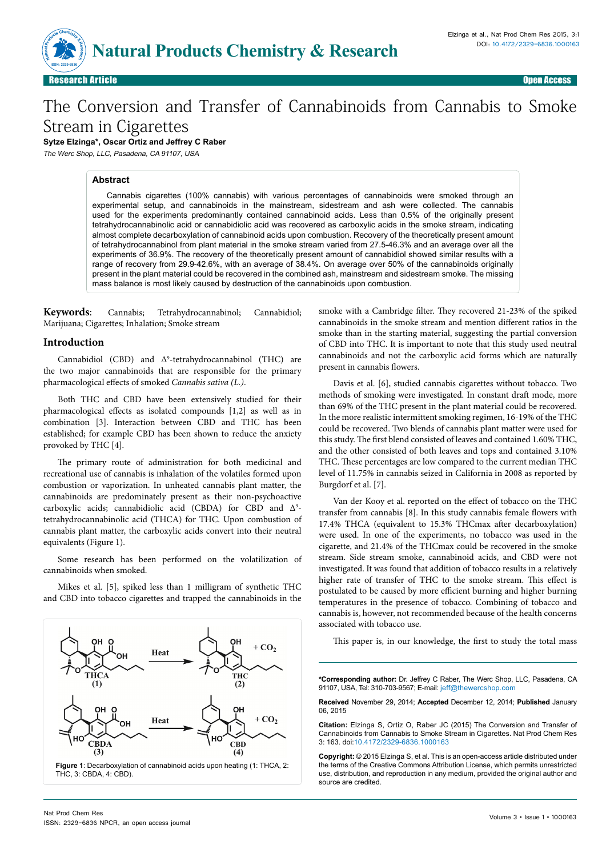

Research Article Open Access **Article Open Access (200** and 200 and 200 and 200 and 200 and 200 and 200 and 200 a

# The Conversion and Transfer of Cannabinoids from Cannabis to Smoke Stream in Cigarettes

**Sytze Elzinga\*, Oscar Ortiz and Jeffrey C Raber**

The Werc Shop, LLC, Pasadena, CA 91107, USA

#### **Abstract**

Cannabis cigarettes (100% cannabis) with various percentages of cannabinoids were smoked through an experimental setup, and cannabinoids in the mainstream, sidestream and ash were collected. The cannabis used for the experiments predominantly contained cannabinoid acids. Less than 0.5% of the originally present tetrahydrocannabinolic acid or cannabidiolic acid was recovered as carboxylic acids in the smoke stream, indicating almost complete decarboxylation of cannabinoid acids upon combustion. Recovery of the theoretically present amount of tetrahydrocannabinol from plant material in the smoke stream varied from 27.5-46.3% and an average over all the experiments of 36.9%. The recovery of the theoretically present amount of cannabidiol showed similar results with a range of recovery from 29.9-42.6%, with an average of 38.4%. On average over 50% of the cannabinoids originally present in the plant material could be recovered in the combined ash, mainstream and sidestream smoke. The missing mass balance is most likely caused by destruction of the cannabinoids upon combustion.

**Keywords**: Cannabis; Tetrahydrocannabinol; Cannabidiol; Marijuana; Cigarettes; Inhalation; Smoke stream

#### **Introduction**

Cannabidiol (CBD) and  $\Delta^9$ -tetrahydrocannabinol (THC) are the two major cannabinoids that are responsible for the primary pharmacological effects of smoked *Cannabis sativa (L.)*.

Both THC and CBD have been extensively studied for their pharmacological effects as isolated compounds [1,2] as well as in combination [3]. Interaction between CBD and THC has been established; for example CBD has been shown to reduce the anxiety provoked by THC [4].

The primary route of administration for both medicinal and recreational use of cannabis is inhalation of the volatiles formed upon combustion or vaporization. In unheated cannabis plant matter, the cannabinoids are predominately present as their non-psychoactive carboxylic acids; cannabidiolic acid (CBDA) for CBD and  $\Delta^9$ tetrahydrocannabinolic acid (THCA) for THC. Upon combustion of cannabis plant matter, the carboxylic acids convert into their neutral equivalents (Figure 1).

Some research has been performed on the volatilization of cannabinoids when smoked.

Mikes et al. [5], spiked less than 1 milligram of synthetic THC and CBD into tobacco cigarettes and trapped the cannabinoids in the



smoke with a Cambridge filter. They recovered 21-23% of the spiked cannabinoids in the smoke stream and mention different ratios in the smoke than in the starting material, suggesting the partial conversion of CBD into THC. It is important to note that this study used neutral cannabinoids and not the carboxylic acid forms which are naturally present in cannabis flowers.

Davis et al. [6], studied cannabis cigarettes without tobacco. Two methods of smoking were investigated. In constant draft mode, more than 69% of the THC present in the plant material could be recovered. In the more realistic intermittent smoking regimen, 16-19% of the THC could be recovered. Two blends of cannabis plant matter were used for this study. The first blend consisted of leaves and contained 1.60% THC, and the other consisted of both leaves and tops and contained 3.10% THC. These percentages are low compared to the current median THC level of 11.75% in cannabis seized in California in 2008 as reported by Burgdorf et al. [7].

Van der Kooy et al. reported on the effect of tobacco on the THC transfer from cannabis [8]. In this study cannabis female flowers with 17.4% THCA (equivalent to 15.3% THCmax after decarboxylation) were used. In one of the experiments, no tobacco was used in the cigarette, and 21.4% of the THCmax could be recovered in the smoke stream. Side stream smoke, cannabinoid acids, and CBD were not investigated. It was found that addition of tobacco results in a relatively higher rate of transfer of THC to the smoke stream. This effect is postulated to be caused by more efficient burning and higher burning temperatures in the presence of tobacco. Combining of tobacco and cannabis is, however, not recommended because of the health concerns associated with tobacco use.

This paper is, in our knowledge, the first to study the total mass

**\*Corresponding author:** Dr. Jeffrey C Raber, The Werc Shop, LLC, Pasadena, CA 91107, USA, Tel: 310-703-9567; E-mail: jeff@thewercshop.com

**Received** November 29, 2014; **Accepted** December 12, 2014; **Published** January 06, 2015

**Citation:** Elzinga S, Ortiz O, Raber JC (2015) The Conversion and Transfer of Cannabinoids from Cannabis to Smoke Stream in Cigarettes. Nat Prod Chem Res 3: 163. doi:10.4172/2329-6836.1000163

**Copyright:** © 2015 Elzinga S, et al. This is an open-access article distributed under the terms of the Creative Commons Attribution License, which permits unrestricted use, distribution, and reproduction in any medium, provided the original author and source are credited.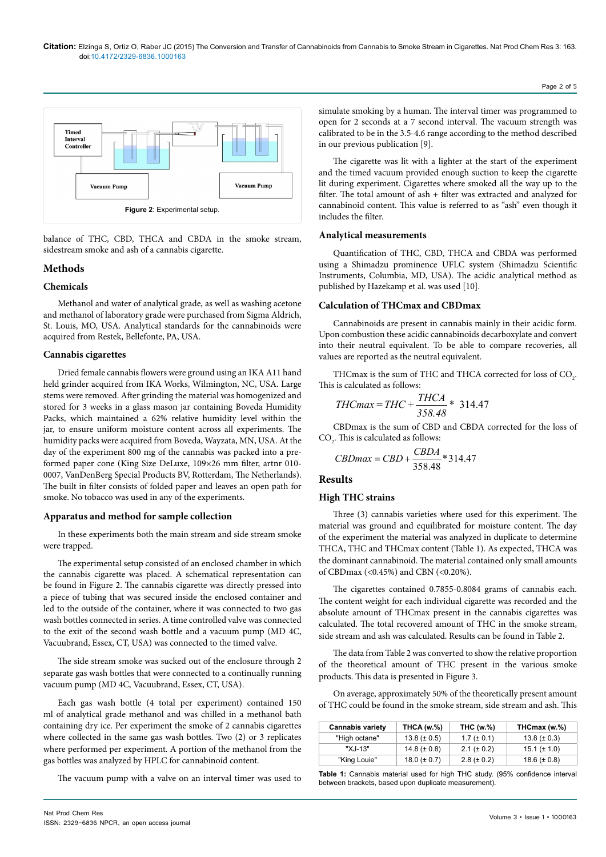

balance of THC, CBD, THCA and CBDA in the smoke stream, sidestream smoke and ash of a cannabis cigarette.

# **Methods**

# **Chemicals**

Methanol and water of analytical grade, as well as washing acetone and methanol of laboratory grade were purchased from Sigma Aldrich, St. Louis, MO, USA. Analytical standards for the cannabinoids were acquired from Restek, Bellefonte, PA, USA.

## **Cannabis cigarettes**

Dried female cannabis flowers were ground using an IKA A11 hand held grinder acquired from IKA Works, Wilmington, NC, USA. Large stems were removed. After grinding the material was homogenized and stored for 3 weeks in a glass mason jar containing Boveda Humidity Packs, which maintained a 62% relative humidity level within the jar, to ensure uniform moisture content across all experiments. The humidity packs were acquired from Boveda, Wayzata, MN, USA. At the day of the experiment 800 mg of the cannabis was packed into a preformed paper cone (King Size DeLuxe, 109×26 mm filter, artnr 010- 0007, VanDenBerg Special Products BV, Rotterdam, The Netherlands). The built in filter consists of folded paper and leaves an open path for smoke. No tobacco was used in any of the experiments.

## **Apparatus and method for sample collection**

In these experiments both the main stream and side stream smoke were trapped.

The experimental setup consisted of an enclosed chamber in which the cannabis cigarette was placed. A schematical representation can be found in Figure 2. The cannabis cigarette was directly pressed into a piece of tubing that was secured inside the enclosed container and led to the outside of the container, where it was connected to two gas wash bottles connected in series. A time controlled valve was connected to the exit of the second wash bottle and a vacuum pump (MD 4C, Vacuubrand, Essex, CT, USA) was connected to the timed valve.

The side stream smoke was sucked out of the enclosure through 2 separate gas wash bottles that were connected to a continually running vacuum pump (MD 4C, Vacuubrand, Essex, CT, USA).

Each gas wash bottle (4 total per experiment) contained 150 ml of analytical grade methanol and was chilled in a methanol bath containing dry ice. Per experiment the smoke of 2 cannabis cigarettes where collected in the same gas wash bottles. Two (2) or 3 replicates where performed per experiment. A portion of the methanol from the gas bottles was analyzed by HPLC for cannabinoid content.

The vacuum pump with a valve on an interval timer was used to

simulate smoking by a human. The interval timer was programmed to open for 2 seconds at a 7 second interval. The vacuum strength was calibrated to be in the 3.5-4.6 range according to the method described in our previous publication [9].

Page 2 of 5

The cigarette was lit with a lighter at the start of the experiment and the timed vacuum provided enough suction to keep the cigarette lit during experiment. Cigarettes where smoked all the way up to the filter. The total amount of ash + filter was extracted and analyzed for cannabinoid content. This value is referred to as "ash" even though it includes the filter.

#### **Analytical measurements**

Quantification of THC, CBD, THCA and CBDA was performed using a Shimadzu prominence UFLC system (Shimadzu Scientific Instruments, Columbia, MD, USA). The acidic analytical method as published by Hazekamp et al. was used [10].

## **Calculation of THCmax and CBDmax**

Cannabinoids are present in cannabis mainly in their acidic form. Upon combustion these acidic cannabinoids decarboxylate and convert into their neutral equivalent. To be able to compare recoveries, all values are reported as the neutral equivalent.

THCmax is the sum of THC and THCA corrected for loss of  $\text{CO}_2$ . This is calculated as follows:

$$
THCmax = THC + \frac{THCA}{358.48} * 314.47
$$

CBDmax is the sum of CBD and CBDA corrected for the loss of  $CO<sub>2</sub>$ . This is calculated as follows:

$$
CBDmax = CBD + \frac{CBDA}{358.48} * 314.47
$$

#### **Results**

## **High THC strains**

Three (3) cannabis varieties where used for this experiment. The material was ground and equilibrated for moisture content. The day of the experiment the material was analyzed in duplicate to determine THCA, THC and THCmax content (Table 1). As expected, THCA was the dominant cannabinoid. The material contained only small amounts of CBDmax (<0.45%) and CBN (<0.20%).

The cigarettes contained 0.7855-0.8084 grams of cannabis each. The content weight for each individual cigarette was recorded and the absolute amount of THCmax present in the cannabis cigarettes was calculated. The total recovered amount of THC in the smoke stream, side stream and ash was calculated. Results can be found in Table 2.

The data from Table 2 was converted to show the relative proportion of the theoretical amount of THC present in the various smoke products. This data is presented in Figure 3.

On average, approximately 50% of the theoretically present amount of THC could be found in the smoke stream, side stream and ash. This

| <b>Cannabis variety</b> | <b>THCA (w.%)</b> | <b>THC (w.%)</b> | THCmax (w.%)      |
|-------------------------|-------------------|------------------|-------------------|
| "High octane"           | $13.8 (\pm 0.5)$  | $1.7 (\pm 0.1)$  | $13.8 (\pm 0.3)$  |
| "X.I-13"                | 14.8 ( $\pm$ 0.8) | $2.1 (\pm 0.2)$  | $15.1 (\pm 1.0)$  |
| "King Louie"            | $18.0 (\pm 0.7)$  | $2.8 (\pm 0.2)$  | 18.6 ( $\pm$ 0.8) |

**Table 1:** Cannabis material used for high THC study. (95% confidence interval between brackets, based upon duplicate measurement).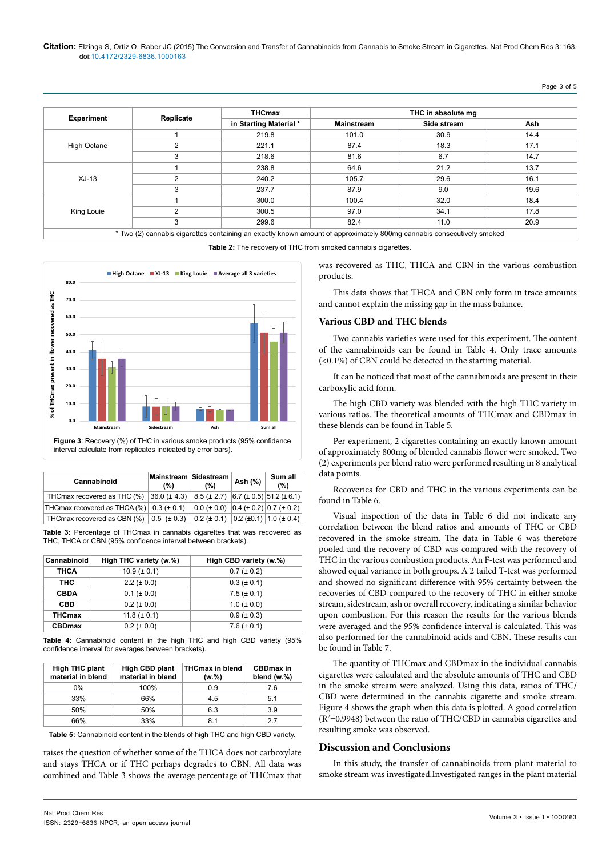#### **Citation:** Elzinga S, Ortiz O, Raber JC (2015) The Conversion and Transfer of Cannabinoids from Cannabis to Smoke Stream in Cigarettes. Nat Prod Chem Res 3: 163. doi:10.4172/2329-6836.1000163

# Page 3 of 5

| <b>Experiment</b>     |           | <b>THCmax</b>          | THC in absolute mg |             |      |
|-----------------------|-----------|------------------------|--------------------|-------------|------|
|                       | Replicate | in Starting Material * | <b>Mainstream</b>  | Side stream | Ash  |
|                       |           | 219.8                  | 101.0              | 30.9        | 14.4 |
| High Octane<br>2<br>3 |           | 221.1                  | 87.4               | 18.3        | 17.1 |
|                       |           | 218.6                  | 81.6               | 6.7         | 14.7 |
| $XJ-13$               |           | 238.8                  | 64.6               | 21.2        | 13.7 |
|                       | 2         | 240.2                  | 105.7              | 29.6        | 16.1 |
|                       | 3         | 237.7                  | 87.9               | 9.0         | 19.6 |
| King Louie            |           | 300.0                  | 100.4              | 32.0        | 18.4 |
|                       | 2         | 300.5                  | 97.0               | 34.1        | 17.8 |
|                       | 3         | 299.6                  | 82.4               | 11.0        | 20.9 |

**Table 2:** The recovery of THC from smoked cannabis cigarettes.



interval calculate from replicates indicated by error bars).

| Cannabinoid                                                                                                         | Mainstream Sidestream<br>(%) | (%) | Ash (%) | Sum all<br>(% ) |
|---------------------------------------------------------------------------------------------------------------------|------------------------------|-----|---------|-----------------|
| THCmax recovered as THC (%) 36.0 (± 4.3) 8.5 (± 2.7) 6.7 (± 0.5) 51.2 (± 6.1)                                       |                              |     |         |                 |
| THCmax recovered as THCA (%) $\vert$ 0.3 (± 0.1) $\vert$ 0.0 (± 0.0) $\vert$ 0.4 (± 0.2) $\vert$ 0.7 (± 0.2)        |                              |     |         |                 |
| THCmax recovered as CBN (%) $\vert 0.5 \, (\pm 0.3) \vert 0.2 (\pm 0.1) \, \vert 0.2 (\pm 0.1) \vert 1.0 (\pm 0.4)$ |                              |     |         |                 |

**Table 3:** Percentage of THCmax in cannabis cigarettes that was recovered as THC, THCA or CBN (95% confidence interval between brackets).

| Cannabinoid   | High THC variety (w.%) | High CBD variety (w.%) |
|---------------|------------------------|------------------------|
| <b>THCA</b>   | $10.9 (\pm 0.1)$       | $0.7 (\pm 0.2)$        |
| тнс           | $2.2 (\pm 0.0)$        | $0.3 (\pm 0.1)$        |
| <b>CBDA</b>   | $0.1 (\pm 0.0)$        | $7.5 (\pm 0.1)$        |
| <b>CBD</b>    | $0.2 (\pm 0.0)$        | $1.0 (\pm 0.0)$        |
| <b>THCmax</b> | 11.8 ( $\pm$ 0.1)      | $0.9 (\pm 0.3)$        |
| <b>CBDmax</b> | $0.2 (\pm 0.0)$        | $7.6 (\pm 0.1)$        |

**Table 4:** Cannabinoid content in the high THC and high CBD variety (95% confidence interval for averages between brackets).

| <b>High THC plant</b><br>material in blend | <b>High CBD plant</b><br>material in blend | THCmax in blend<br>(w.%) | <b>CBDmax in</b><br>blend (w.%) |
|--------------------------------------------|--------------------------------------------|--------------------------|---------------------------------|
| $0\%$                                      | 100%                                       | 0.9                      | 7.6                             |
| 33%                                        | 66%                                        | 4.5                      | 5.1                             |
| 50%                                        | 50%                                        | 6.3                      | 3.9                             |
| 66%                                        | 33%                                        | 8.1                      | 27                              |

**Table 5:** Cannabinoid content in the blends of high THC and high CBD variety.

raises the question of whether some of the THCA does not carboxylate and stays THCA or if THC perhaps degrades to CBN. All data was combined and Table 3 shows the average percentage of THCmax that was recovered as THC, THCA and CBN in the various combustion products.

This data shows that THCA and CBN only form in trace amounts and cannot explain the missing gap in the mass balance.

#### **Various CBD and THC blends**

Two cannabis varieties were used for this experiment. The content of the cannabinoids can be found in Table 4. Only trace amounts (<0.1%) of CBN could be detected in the starting material.

It can be noticed that most of the cannabinoids are present in their carboxylic acid form.

The high CBD variety was blended with the high THC variety in various ratios. The theoretical amounts of THCmax and CBDmax in these blends can be found in Table 5.

Per experiment, 2 cigarettes containing an exactly known amount of approximately 800mg of blended cannabis flower were smoked. Two (2) experiments per blend ratio were performed resulting in 8 analytical data points.

Recoveries for CBD and THC in the various experiments can be found in Table 6.

Visual inspection of the data in Table 6 did not indicate any correlation between the blend ratios and amounts of THC or CBD recovered in the smoke stream. The data in Table 6 was therefore pooled and the recovery of CBD was compared with the recovery of THC in the various combustion products. An F-test was performed and showed equal variance in both groups. A 2 tailed T-test was performed and showed no significant difference with 95% certainty between the recoveries of CBD compared to the recovery of THC in either smoke stream, sidestream, ash or overall recovery, indicating a similar behavior upon combustion. For this reason the results for the various blends were averaged and the 95% confidence interval is calculated. This was also performed for the cannabinoid acids and CBN. These results can be found in Table 7.

The quantity of THCmax and CBDmax in the individual cannabis cigarettes were calculated and the absolute amounts of THC and CBD in the smoke stream were analyzed. Using this data, ratios of THC/ CBD were determined in the cannabis cigarette and smoke stream. Figure 4 shows the graph when this data is plotted. A good correlation  $(R<sup>2</sup>=0.9948)$  between the ratio of THC/CBD in cannabis cigarettes and resulting smoke was observed.

## **Discussion and Conclusions**

In this study, the transfer of cannabinoids from plant material to smoke stream was investigated.Investigated ranges in the plant material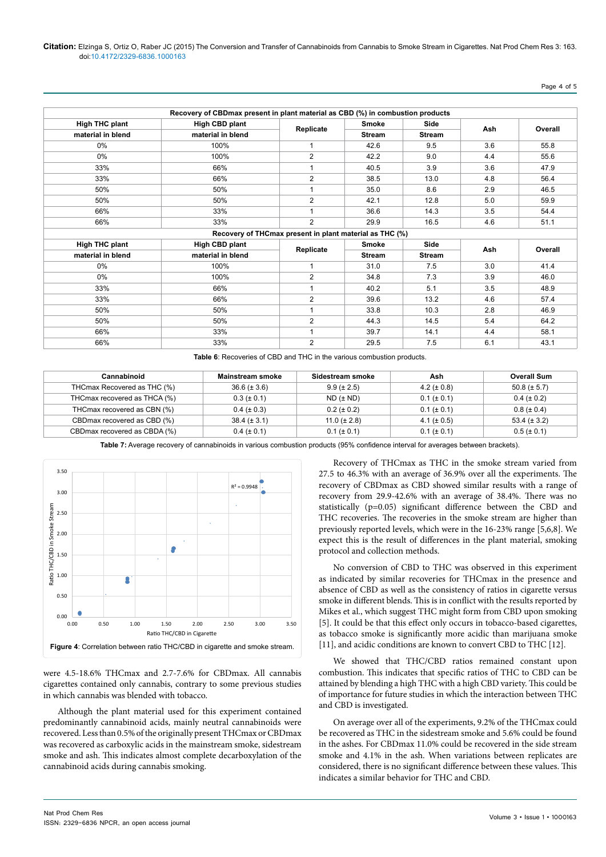|                       | Recovery of CBDmax present in plant material as CBD (%) in combustion products |                                                         |               |               |         |         |
|-----------------------|--------------------------------------------------------------------------------|---------------------------------------------------------|---------------|---------------|---------|---------|
| <b>High THC plant</b> | High CBD plant                                                                 |                                                         | <b>Smoke</b>  | Side          |         | Overall |
| material in blend     | material in blend                                                              | Replicate                                               | <b>Stream</b> | <b>Stream</b> | Ash     |         |
| $0\%$                 | 100%                                                                           | 1                                                       | 42.6          | 9.5           | 3.6     | 55.8    |
| $0\%$                 | 100%                                                                           | $\overline{2}$                                          | 42.2          | 9.0           | 4.4     | 55.6    |
| 33%                   | 66%                                                                            | 1                                                       | 40.5          | 3.9           | 3.6     | 47.9    |
| 33%                   | 66%                                                                            | $\overline{2}$                                          | 38.5          | 13.0          | 4.8     | 56.4    |
| 50%                   | 50%                                                                            | 1                                                       | 35.0          | 8.6           | 2.9     | 46.5    |
| 50%                   | 50%                                                                            | $\overline{2}$                                          | 42.1          | 12.8          | 5.0     | 59.9    |
| 66%                   | 33%                                                                            | 1                                                       | 36.6          | 14.3          | 3.5     | 54.4    |
| 66%                   | 33%                                                                            | $\overline{2}$                                          | 29.9          | 16.5          | 4.6     | 51.1    |
|                       |                                                                                | Recovery of THCmax present in plant material as THC (%) |               |               |         |         |
| <b>High THC plant</b> | High CBD plant<br>Side<br><b>Smoke</b>                                         |                                                         |               | Ash           | Overall |         |
| material in blend     | material in blend                                                              | Replicate                                               | <b>Stream</b> | <b>Stream</b> |         |         |
| $0\%$                 | 100%                                                                           | 1                                                       | 31.0          | 7.5           | 3.0     | 41.4    |
| 0%                    | 100%                                                                           | 2                                                       | 34.8          | 7.3           | 3.9     | 46.0    |
| 33%                   | 66%                                                                            | 1                                                       | 40.2          | 5.1           | 3.5     | 48.9    |
| 33%                   | 66%                                                                            | $\overline{2}$                                          | 39.6          | 13.2          | 4.6     | 57.4    |
| 50%                   | 50%                                                                            | $\mathbf{1}$                                            | 33.8          | 10.3          | 2.8     | 46.9    |
| 50%                   | 50%                                                                            | $\overline{2}$                                          | 44.3          | 14.5          | 5.4     | 64.2    |
| 66%                   | 33%                                                                            | $\overline{ }$                                          | 39.7          | 14.1          | 4.4     | 58.1    |
| 66%                   | 33%                                                                            | 2                                                       | 29.5          | 7.5           | 6.1     | 43.1    |

**Table 6**: Recoveries of CBD and THC in the various combustion products.

| Cannabinoid                   | Mainstream smoke | Sidestream smoke  | Ash              | <b>Overall Sum</b> |
|-------------------------------|------------------|-------------------|------------------|--------------------|
| THCmax Recovered as THC (%)   | $36.6 (\pm 3.6)$ | $9.9 (\pm 2.5)$   | 4.2 ( $\pm$ 0.8) | $50.8 (\pm 5.7)$   |
| THCmax recovered as THCA (%)  | $0.3 (\pm 0.1)$  | $ND$ ( $\pm ND$ ) | $0.1 (\pm 0.1)$  | $0.4~(\pm 0.2)$    |
| THCmax recovered as CBN (%)   | $0.4~(\pm 0.3)$  | $0.2 (\pm 0.2)$   | $0.1 (\pm 0.1)$  | $0.8$ ( $\pm$ 0.4) |
| CBD max recovered as CBD (%)  | $38.4 (\pm 3.1)$ | 11.0 ( $\pm$ 2.8) | 4.1 ( $\pm$ 0.5) | $53.4 (\pm 3.2)$   |
| CBD max recovered as CBDA (%) | $0.4~(\pm 0.1)$  | $0.1 (\pm 0.1)$   | $0.1 (\pm 0.1)$  | $0.5 (\pm 0.1)$    |

**Table 7:** Average recovery of cannabinoids in various combustion products (95% confidence interval for averages between brackets).



were 4.5-18.6% THCmax and 2.7-7.6% for CBDmax. All cannabis cigarettes contained only cannabis, contrary to some previous studies in which cannabis was blended with tobacco.

Although the plant material used for this experiment contained predominantly cannabinoid acids, mainly neutral cannabinoids were recovered. Less than 0.5% of the originally present THCmax or CBDmax was recovered as carboxylic acids in the mainstream smoke, sidestream smoke and ash. This indicates almost complete decarboxylation of the cannabinoid acids during cannabis smoking.

Recovery of THCmax as THC in the smoke stream varied from 27.5 to 46.3% with an average of 36.9% over all the experiments. The recovery of CBDmax as CBD showed similar results with a range of recovery from 29.9-42.6% with an average of 38.4%. There was no statistically (p=0.05) significant difference between the CBD and THC recoveries. The recoveries in the smoke stream are higher than previously reported levels, which were in the 16-23% range [5,6,8]. We expect this is the result of differences in the plant material, smoking protocol and collection methods.

No conversion of CBD to THC was observed in this experiment as indicated by similar recoveries for THCmax in the presence and absence of CBD as well as the consistency of ratios in cigarette versus smoke in different blends. This is in conflict with the results reported by Mikes et al., which suggest THC might form from CBD upon smoking [5]. It could be that this effect only occurs in tobacco-based cigarettes, as tobacco smoke is significantly more acidic than marijuana smoke [11], and acidic conditions are known to convert CBD to THC [12].

We showed that THC/CBD ratios remained constant upon combustion. This indicates that specific ratios of THC to CBD can be attained by blending a high THC with a high CBD variety. This could be of importance for future studies in which the interaction between THC and CBD is investigated.

On average over all of the experiments, 9.2% of the THCmax could be recovered as THC in the sidestream smoke and 5.6% could be found in the ashes. For CBDmax 11.0% could be recovered in the side stream smoke and 4.1% in the ash. When variations between replicates are considered, there is no significant difference between these values. This indicates a similar behavior for THC and CBD.

Page 4 of 5